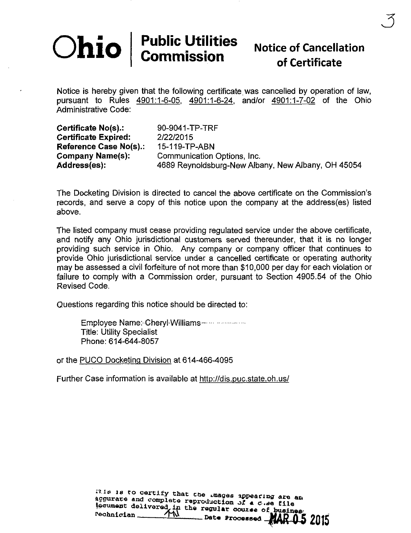# $\textbf{Chio} \mid \textbf{Public Itilities} \atop \textbf{Commission}$  Notice of Cancellation

3

Notice is hereby given that the following certificate was cancelled by operation of law, pursuant to Rules 4901:1-6-05. 4901:1-6-24. and/or 4901:1-7-02 of the Ohio Administrative Code:

Certificate No(s).: 90-9041-TP-TRF Certificate Expired: 2/22/2015 Reference Case No{s).: 15-119-TP-ABN

Company Name(s): Communication Options, Inc. Address(es): 4689 Reynoldsburg-New Albany, New Albany, OH 45054

The Docketing Division is directed to cancel the above certificate on the Commission's records, and serve a copy of this notice upon the company at the address(es) listed above.

The listed company must cease providing regulated service under the above certificate, and notify any Ohio jurisdictional customers served thereunder, that it is no longer providing such service in Ohio. Any company or company officer that continues to provide Ohio jurisdictional service under a cancelled certificate or operating authority may be assessed a civil forfeiture of not more than \$10,000 per day for each violation or failure to comply with a Commission order, pursuant to Section 4905.54 of the Ohio Revised Code.

Questions regarding this notice should be directed to:

Employee Name:-Gheryl^WJIIiams- • ^-^^^^^^.^^^ Title: Utility Specialist Phone:614-644-8057

or the PUCO DocKeting Division at 614-466-4095

Further Case information is available at <http://dis.puc.state.oh.us/>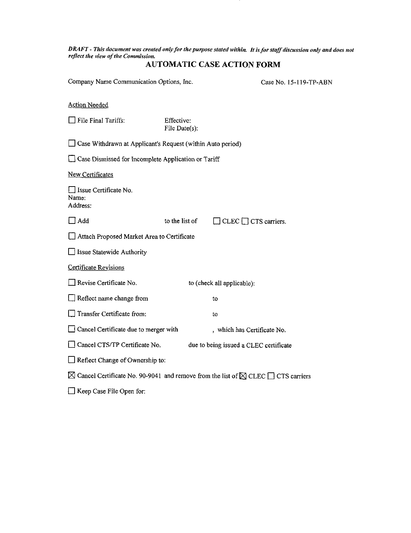DRAFT - This document was created only for the purpose stated within. It is for staff discussion only and does not reflect the view of the Commission.

#### AUTOMATIC CASE ACTION FORM

Company Name Communication Options, Inc. Case No. 15-119-TP-ABN

Action Needed

 $\Box$  File Final Tariffs: Effective: File Date(s): File Date(s):

D Case Withdrawn at Applicant's Request (within Auto period)

 $\Box$  Case Dismissed for Incomplete Application or Tariff

New Certificates (New Certificates)

**Example 2** Issue Certificate No.<br>Name: Address:

 $\Box$  Add

 $\Box$  CLEC  $\Box$  CTS carriers. to the list of

 $\Box$  Attach Proposed Market Area to Certificate

 $\Box$  Issue Statewide Authority

Certificate Revisions

 $\Box$  Revise Certificate No. to (check all applicable):

 $\Box$  Reflect name change from to

 $\Box$  Transfer Certificate from: to

 $\Box$  Cancel Certificate due to merger with , which has Certificate No.

 $\Box$  Cancel CTS/TP Certificate No. due to being issued a CLEC certificate

 $\Box$  Reflect Change of Ownership to:

 $\boxtimes$  Cancel Certificate No. 90-9041 and remove from the list of  $\boxtimes$  CLEC  $\Box$  CTS carriers

 $\Box$  Keep Case File Open for: